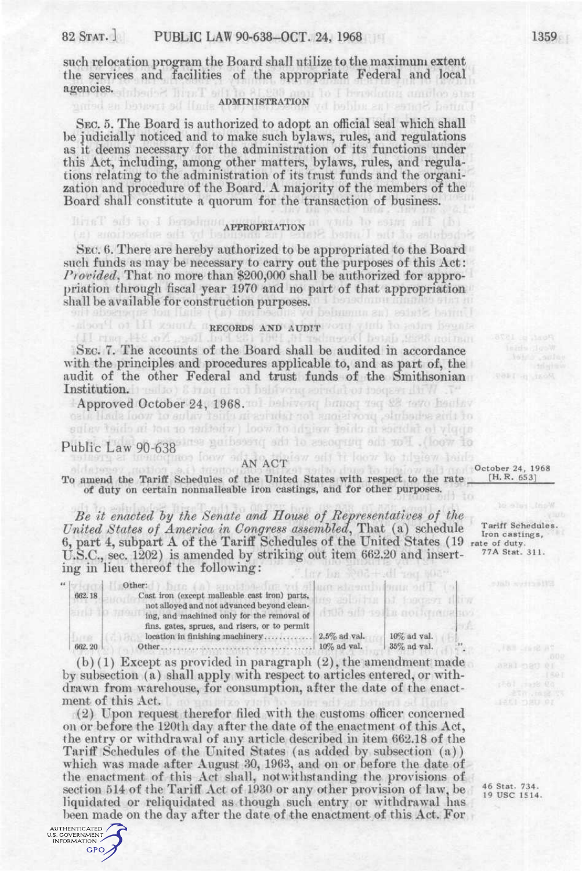such relocation program the Board shall utilize to the maximum extent the services and facilities of the appropriate Federal and local agencies.

### **ADMINISTRATION**

SEC. 5. The Board is authorized to adopt an official seal which shall be judicially noticed and to make such bylaws, rules, and regulations as it deems necessary for the administration of its functions under this Act, including, among other matters, bylaws, rules, and regulations relating to the administration of its trust funds and the organization and procedure of the Board. A majority of the members of the Board shall constitute a quorum for the transaction of business.

## $R$ <sup>p</sup>rincipative of the prop**riation**  $R$  and  $R$  is a set of the property of the property of the property of the property of the property of the property of the property of the property of the property of the property o

SEC. 6. There are hereby authorized to be appropriated to the Board such funds as may be necessary to carry out the purposes of this Act: *Provided.* That no more than \$200,000 shall be authorized for appropriation through fiscal year 1970 and no part of that appropriation shall be available for construction purposes.

## about of HI gener a macosos and aunit out girl to saint hegate

SEC. 7. The accounts of the Board shall be audited in accordance with the principles and procedures applicable to, and as part of, the audit of the other Federal and trust funds of the Smithsonian Institution. I realto ) & from ni not helitvong sorrelation frequentitive .

Approved October 24, 1968. toll behiving house and 28 tove healthy

Reg. No. 2H.

# Public Law 90-638 First guidancing add to encounting add no II . (foot to

AUTHENTICATED U.S. GOVERNMENT INFORMATION GPO

saley taids at tou to redsort wood (wiether or not in chief value

The monderness foot so AN ACT (sw sell it foot to fully ow haid) To amend the Tariff Schedules of the United States with respect to the rate of duty on certain nonmalleable iron castings, and for other purposes.

*Be it enacted by the Senate and House of Representatives of the United States of America in Congress assembled,* That (a) schedule 6, part 4, subpart A of the Tariff Schedules of the United States (19 rate of duty. U.S.C., sec. 1202) is amended by striking out item 662.20 and inserting in lieu thereof the following:

|         | Other:                                        | EREN BERKER IN THE REPORT OF THE REPORT OF THE REPORT OF THE REPORT OF THE REPORT OF THE REPORT OF THE REPORT OF THE REPORT OF THE REPORT OF THE REPORT OF THE REPORT OF THE REPORT OF THE REPORT OF THE REPORT OF THE REPORT |                           |  |
|---------|-----------------------------------------------|-------------------------------------------------------------------------------------------------------------------------------------------------------------------------------------------------------------------------------|---------------------------|--|
| 662.18  | Cast iron (except malleable cast iron) parts. |                                                                                                                                                                                                                               |                           |  |
|         | not alloyed and not advanced beyond clean-    |                                                                                                                                                                                                                               |                           |  |
|         | ing, and machined only for the removal of     |                                                                                                                                                                                                                               | All' toll it noticentests |  |
|         | fins, gates, sprues, and risers, or to permit |                                                                                                                                                                                                                               |                           |  |
|         | location in finishing machinery               | $2.5\%$ ad val.                                                                                                                                                                                                               | $10\%$ ad val.            |  |
| 662, 20 | Other                                         | $10\%$ ad val.                                                                                                                                                                                                                | 35% ad val.               |  |
|         |                                               |                                                                                                                                                                                                                               |                           |  |

(b) (1) Except as provided in paragraph (2), the amendment made by subsection (a) shall apply with respect to articles entered, or withdrawn from warehouse, for consumption, after the date of the enactment of this Act.

 $(2)$  Upon request therefor filed with the customs officer concerned on or before the 120th day after the date of the enactment of this Act, the entry or withdrawal of any article described in item 662.18 of the Tariff Schedules of the United States (as added by subsection (a)) which was made after August 30, 1963, and on or before the date of the enactment of this Act shall, notwithstanding the provisions of section 514 of the Tariff Act of 1930 or any other provision of law, be liquidated or reliquidated as though such entry or withdrawal has been made on the day after the date of the enactment of this Act. For

46 Stat. 734.<br>19 USC 1514.

of asilho ring to his owned and October 24, 1968 [H. R. 653]

> Tariff Schedules. Iron castings, 77A Stat. 311.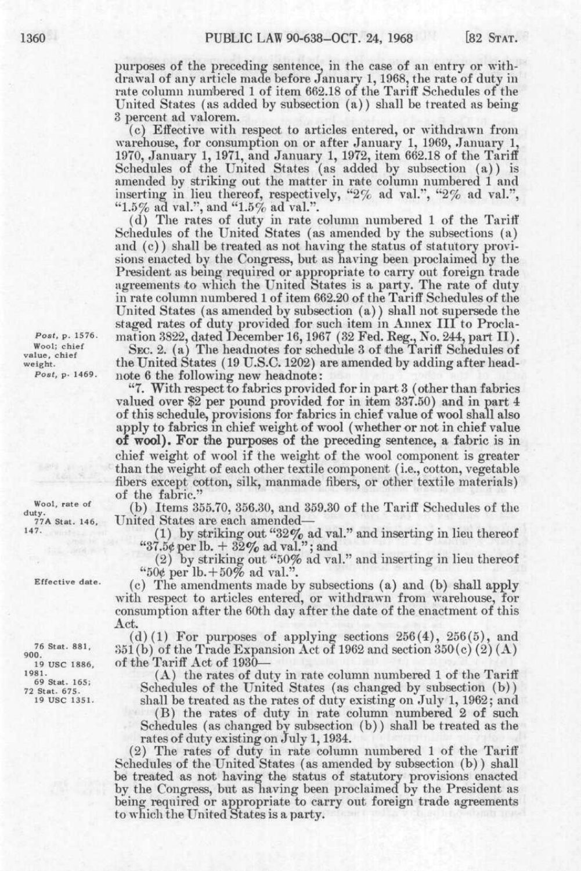purposes of the preceding sentence, in the case of an entry or withdrawal of any article made before January 1,1968, the rate of duty in rate column numbered 1 of item 662.18 of the Tariff Schedules of the United States (as added by subsection (a)) shall be treated as being 3 percent ad valorem.

(c) Effective with respect to articles entered, or withdrawn from warehouse, for consumption on or after January 1, 1969, January 1, 1970, January 1, 1971, and January 1, 1972, item 662.18 of the Tariff Schedules of the United States (as added by subsection (a)) is amended by striking out the matter in rate column numbered 1 and inserting in lieu thereof, respectively, "2% ad val.", "2% ad val.", "1.5% ad val.", and "1.5% ad val.".

(d) The rates of duty in rate column numbered 1 of the Tariff' Schedules of the United States (as amended by the subsections (a) and (c)) shall be treated as not having the status of statutory provisions enacted by the Congress, but as having been proclaimed by the President as being required or appropriate to carry out foreign trade agreements to which the United States is a party. The rate of duty in rate column numbered 1 of item 662.20 of the Tariff Schedules of the United States (as amended by subsection (a)) shall not supersede the staged rates of duty provided for such item in Annex III to Procla*post,* p. 1576. mation 3822, dated December 16, 1967 (32 Fed. Reg., No. 244, part II). Wool; chief SEC. 2. (a) The headnotes for schedule 3 of the Tariff Schedules of value, chief

weight. the United States (19 U.S.C. 1202) are amended by adding after head-<br> $Post, p. 1469$ . note 6 the following new headnote: note 6 the following new headnote:

"7. With respect to fabrics provided for in part 3 (other than fabrics valued over \$2 per pound provided for in item 337.50) and in part 4 of this schedule, provisions for fabrics in chief value of wool shall also apply to fabrics in chief weight of wool (whether or not in chief value **oi wool). For** the purposes of the preceding sentence, a fabric is in chief weight of wool if the weight of the wool component is greater than the weight of each other textile component (i.e., cotton, vegetable fibers except cotton, silk, manmade fibers, or other textile materials) of the fabric."

*N*<sup>ool, rate of (b) Items 355.70, 356.30, and 359.30 of the Tariff Schedules of the duty.<br>  $\frac{77A}{77A \text{ Stat. }146}$  United States are each amended—</sup> United States are each amended-

> (1) by striking out "32% ad val." and inserting in lieu thereof "37.5 $\epsilon$  per lb.  $+$  32% ad val."; and

> (2) by striking out "50% ad val." and inserting in lieu thereof "50¢ per lb. $+50\%$  ad val.".

(c) The amendments made by subsections (a) and (b) shall apply with respect to articles entered, or withdrawn from warehouse, for consumption after the 60th day after the date of the enactment of this Act.

 $(d)$  (1) For purposes of applying sections  $256(4)$ ,  $256(5)$ , and  $351(b)$  of the Trade Expansion Act of 1962 and section  $350(c) (2)(A)$ <sup>19</sup> usc 1886, of the Tariff Act of 1930–<br><sup>1981</sup>

<sup>81</sup>. (A) the rates of duty in rate column numbered 1 of the Tariff  $^{81}$ <sup>09</sup> stat.  $675.$  Schedules of the United States (as changed by subsection (b))<br><sup>72</sup> stat. <sup>675</sup>. Shall be treated as the rates of duty existing on July 1, 1962; and shall be treated as the rates of duty existing on July 1, 1962; and

> (B) the rates of duty in rate column numbered 2 of such Schedules (as changed by subsection (b)) shall be treated as the rates of duty existing on July 1,1934.

(2) The rates of duty in rate column numbered 1 of the Tariff Schedules of the United States (as amended by subsection (b)) shall be treated as not having the status of statutory provisions enacted by the Congress, but as having been proclaimed by the President as being required or appropriate to carry out foreign trade agreements to which the United States is a party.

**147.** 

**Effective date.** 

**76 Stat. 881 900**